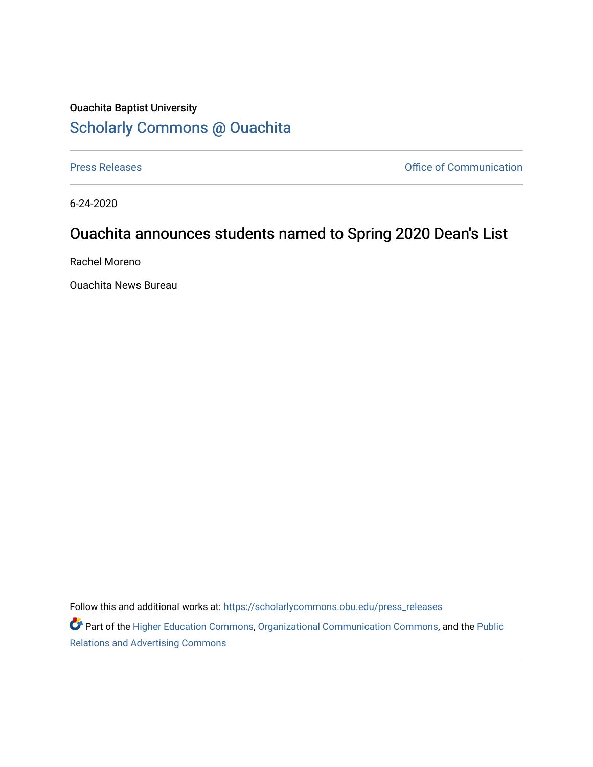## Ouachita Baptist University [Scholarly Commons @ Ouachita](https://scholarlycommons.obu.edu/)

[Press Releases](https://scholarlycommons.obu.edu/press_releases) **Press Releases Communication** 

6-24-2020

## Ouachita announces students named to Spring 2020 Dean's List

Rachel Moreno

Ouachita News Bureau

Follow this and additional works at: [https://scholarlycommons.obu.edu/press\\_releases](https://scholarlycommons.obu.edu/press_releases?utm_source=scholarlycommons.obu.edu%2Fpress_releases%2F764&utm_medium=PDF&utm_campaign=PDFCoverPages)

Part of the [Higher Education Commons,](http://network.bepress.com/hgg/discipline/1245?utm_source=scholarlycommons.obu.edu%2Fpress_releases%2F764&utm_medium=PDF&utm_campaign=PDFCoverPages) [Organizational Communication Commons,](http://network.bepress.com/hgg/discipline/335?utm_source=scholarlycommons.obu.edu%2Fpress_releases%2F764&utm_medium=PDF&utm_campaign=PDFCoverPages) and the [Public](http://network.bepress.com/hgg/discipline/336?utm_source=scholarlycommons.obu.edu%2Fpress_releases%2F764&utm_medium=PDF&utm_campaign=PDFCoverPages) [Relations and Advertising Commons](http://network.bepress.com/hgg/discipline/336?utm_source=scholarlycommons.obu.edu%2Fpress_releases%2F764&utm_medium=PDF&utm_campaign=PDFCoverPages)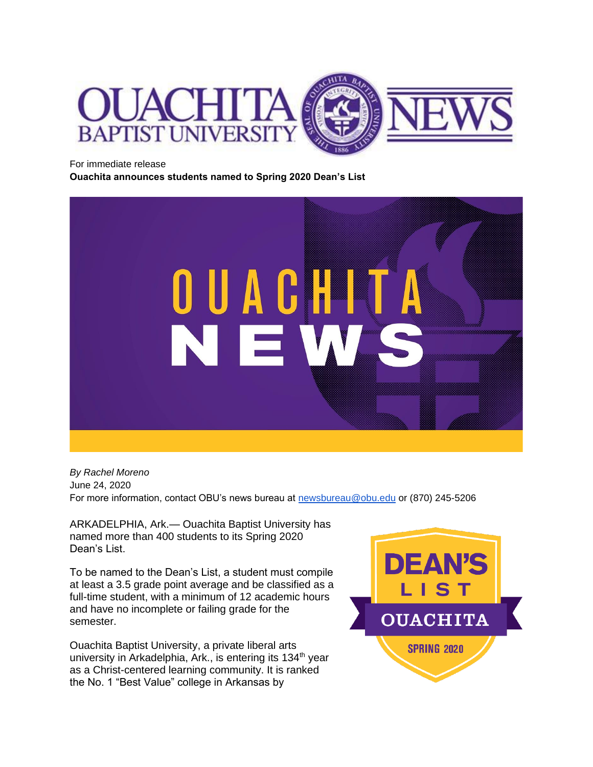

For immediate release

**Ouachita announces students named to Spring 2020 Dean's List**



*By Rachel Moreno* June 24, 2020 For more information, contact OBU's news bureau at [newsbureau@obu.edu](mailto:newsbureau@obu.edu) or (870) 245-5206

ARKADELPHIA, Ark.— Ouachita Baptist University has named more than 400 students to its Spring 2020 Dean's List.

To be named to the Dean's List, a student must compile at least a 3.5 grade point average and be classified as a full-time student, with a minimum of 12 academic hours and have no incomplete or failing grade for the semester.

Ouachita Baptist University, a private liberal arts university in Arkadelphia, Ark., is entering its  $134<sup>th</sup>$  year as a Christ-centered learning community. It is ranked the No. 1 "Best Value" college in Arkansas by

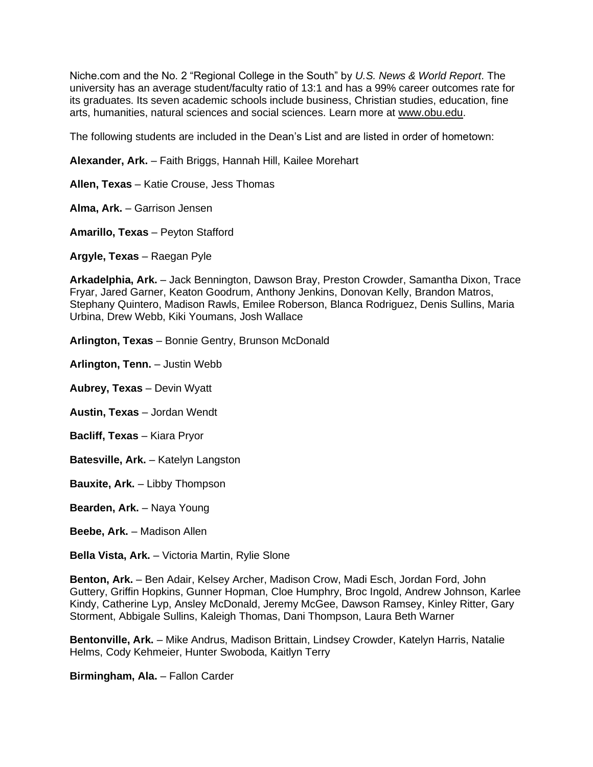Niche.com and the No. 2 "Regional College in the South" by *U.S. News & World Report*. The university has an average student/faculty ratio of 13:1 and has a 99% career outcomes rate for its graduates. Its seven academic schools include business, Christian studies, education, fine arts, humanities, natural sciences and social sciences. Learn more at [www.obu.edu.](http://www.obu.edu/)

The following students are included in the Dean's List and are listed in order of hometown:

**Alexander, Ark.** – Faith Briggs, Hannah Hill, Kailee Morehart

**Allen, Texas** – Katie Crouse, Jess Thomas

**Alma, Ark.** – Garrison Jensen

**Amarillo, Texas** – Peyton Stafford

**Argyle, Texas** – Raegan Pyle

**Arkadelphia, Ark.** – Jack Bennington, Dawson Bray, Preston Crowder, Samantha Dixon, Trace Fryar, Jared Garner, Keaton Goodrum, Anthony Jenkins, Donovan Kelly, Brandon Matros, Stephany Quintero, Madison Rawls, Emilee Roberson, Blanca Rodriguez, Denis Sullins, Maria Urbina, Drew Webb, Kiki Youmans, Josh Wallace

**Arlington, Texas** – Bonnie Gentry, Brunson McDonald

**Arlington, Tenn.** – Justin Webb

**Aubrey, Texas** – Devin Wyatt

**Austin, Texas** – Jordan Wendt

**Bacliff, Texas** – Kiara Pryor

**Batesville, Ark.** – Katelyn Langston

**Bauxite, Ark.** – Libby Thompson

**Bearden, Ark.** – Naya Young

**Beebe, Ark.** – Madison Allen

**Bella Vista, Ark.** – Victoria Martin, Rylie Slone

**Benton, Ark.** – Ben Adair, Kelsey Archer, Madison Crow, Madi Esch, Jordan Ford, John Guttery, Griffin Hopkins, Gunner Hopman, Cloe Humphry, Broc Ingold, Andrew Johnson, Karlee Kindy, Catherine Lyp, Ansley McDonald, Jeremy McGee, Dawson Ramsey, Kinley Ritter, Gary Storment, Abbigale Sullins, Kaleigh Thomas, Dani Thompson, Laura Beth Warner

**Bentonville, Ark.** – Mike Andrus, Madison Brittain, Lindsey Crowder, Katelyn Harris, Natalie Helms, Cody Kehmeier, Hunter Swoboda, Kaitlyn Terry

**Birmingham, Ala.** – Fallon Carder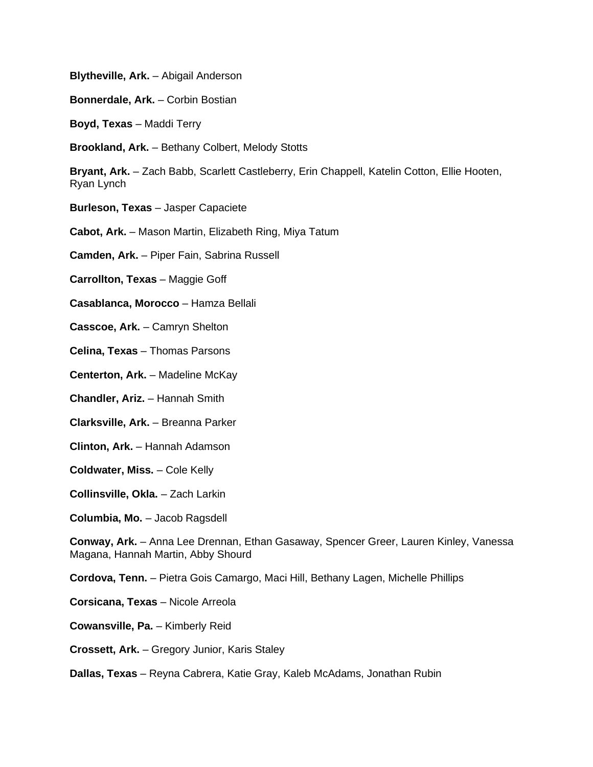**Blytheville, Ark.** – Abigail Anderson

**Bonnerdale, Ark.** – Corbin Bostian

**Boyd, Texas** – Maddi Terry

**Brookland, Ark.** – Bethany Colbert, Melody Stotts

**Bryant, Ark.** – Zach Babb, Scarlett Castleberry, Erin Chappell, Katelin Cotton, Ellie Hooten, Ryan Lynch

**Burleson, Texas** – Jasper Capaciete

**Cabot, Ark.** – Mason Martin, Elizabeth Ring, Miya Tatum

**Camden, Ark.** – Piper Fain, Sabrina Russell

**Carrollton, Texas** – Maggie Goff

**Casablanca, Morocco** – Hamza Bellali

**Casscoe, Ark.** – Camryn Shelton

**Celina, Texas** – Thomas Parsons

**Centerton, Ark.** – Madeline McKay

**Chandler, Ariz.** – Hannah Smith

**Clarksville, Ark.** – Breanna Parker

**Clinton, Ark.** – Hannah Adamson

**Coldwater, Miss.** – Cole Kelly

**Collinsville, Okla.** – Zach Larkin

**Columbia, Mo.** – Jacob Ragsdell

**Conway, Ark.** – Anna Lee Drennan, Ethan Gasaway, Spencer Greer, Lauren Kinley, Vanessa Magana, Hannah Martin, Abby Shourd

**Cordova, Tenn.** – Pietra Gois Camargo, Maci Hill, Bethany Lagen, Michelle Phillips

**Corsicana, Texas** – Nicole Arreola

**Cowansville, Pa.** – Kimberly Reid

**Crossett, Ark.** – Gregory Junior, Karis Staley

**Dallas, Texas** – Reyna Cabrera, Katie Gray, Kaleb McAdams, Jonathan Rubin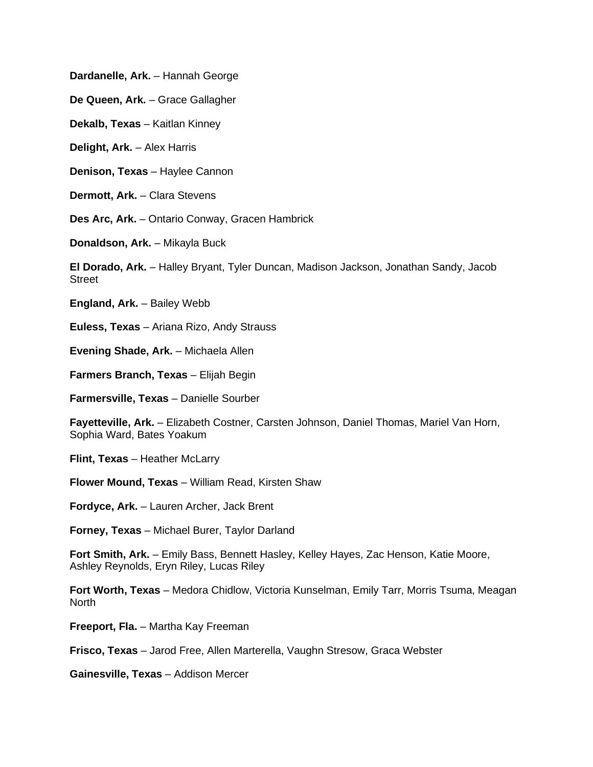**Dardanelle, Ark.** – Hannah George

**De Queen, Ark.** – Grace Gallagher

**Dekalb, Texas** – Kaitlan Kinney

**Delight, Ark.** – Alex Harris

**Denison, Texas** – Haylee Cannon

**Dermott, Ark.** – Clara Stevens

**Des Arc, Ark.** – Ontario Conway, Gracen Hambrick

**Donaldson, Ark.** – Mikayla Buck

**El Dorado, Ark.** – Halley Bryant, Tyler Duncan, Madison Jackson, Jonathan Sandy, Jacob Street

**England, Ark.** – Bailey Webb

**Euless, Texas** – Ariana Rizo, Andy Strauss

**Evening Shade, Ark.** – Michaela Allen

**Farmers Branch, Texas** – Elijah Begin

**Farmersville, Texas** – Danielle Sourber

**Fayetteville, Ark.** – Elizabeth Costner, Carsten Johnson, Daniel Thomas, Mariel Van Horn, Sophia Ward, Bates Yoakum

**Flint, Texas** – Heather McLarry

**Flower Mound, Texas** – William Read, Kirsten Shaw

**Fordyce, Ark.** – Lauren Archer, Jack Brent

**Forney, Texas** – Michael Burer, Taylor Darland

**Fort Smith, Ark.** – Emily Bass, Bennett Hasley, Kelley Hayes, Zac Henson, Katie Moore, Ashley Reynolds, Eryn Riley, Lucas Riley

**Fort Worth, Texas** – Medora Chidlow, Victoria Kunselman, Emily Tarr, Morris Tsuma, Meagan North

**Freeport, Fla.** – Martha Kay Freeman

**Frisco, Texas** – Jarod Free, Allen Marterella, Vaughn Stresow, Graca Webster

**Gainesville, Texas** – Addison Mercer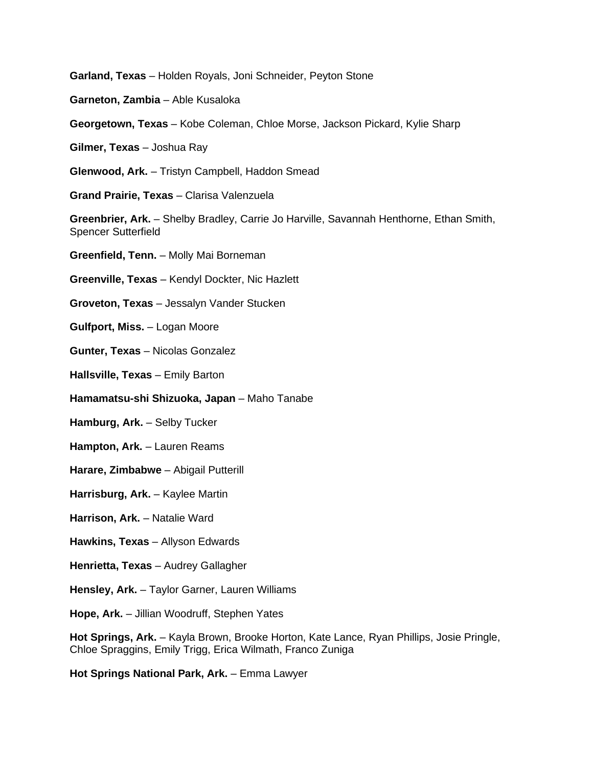**Garland, Texas** – Holden Royals, Joni Schneider, Peyton Stone

**Garneton, Zambia** – Able Kusaloka

**Georgetown, Texas** – Kobe Coleman, Chloe Morse, Jackson Pickard, Kylie Sharp

**Gilmer, Texas** – Joshua Ray

**Glenwood, Ark.** – Tristyn Campbell, Haddon Smead

**Grand Prairie, Texas** – Clarisa Valenzuela

**Greenbrier, Ark.** – Shelby Bradley, Carrie Jo Harville, Savannah Henthorne, Ethan Smith, Spencer Sutterfield

**Greenfield, Tenn.** – Molly Mai Borneman

**Greenville, Texas** – Kendyl Dockter, Nic Hazlett

**Groveton, Texas** – Jessalyn Vander Stucken

**Gulfport, Miss.** – Logan Moore

**Gunter, Texas** – Nicolas Gonzalez

**Hallsville, Texas** – Emily Barton

**Hamamatsu-shi Shizuoka, Japan** – Maho Tanabe

**Hamburg, Ark.** – Selby Tucker

**Hampton, Ark.** – Lauren Reams

**Harare, Zimbabwe** – Abigail Putterill

**Harrisburg, Ark.** – Kaylee Martin

**Harrison, Ark.** – Natalie Ward

- **Hawkins, Texas** Allyson Edwards
- **Henrietta, Texas** Audrey Gallagher
- **Hensley, Ark.** Taylor Garner, Lauren Williams

**Hope, Ark.** – Jillian Woodruff, Stephen Yates

**Hot Springs, Ark.** – Kayla Brown, Brooke Horton, Kate Lance, Ryan Phillips, Josie Pringle, Chloe Spraggins, Emily Trigg, Erica Wilmath, Franco Zuniga

**Hot Springs National Park, Ark.** – Emma Lawyer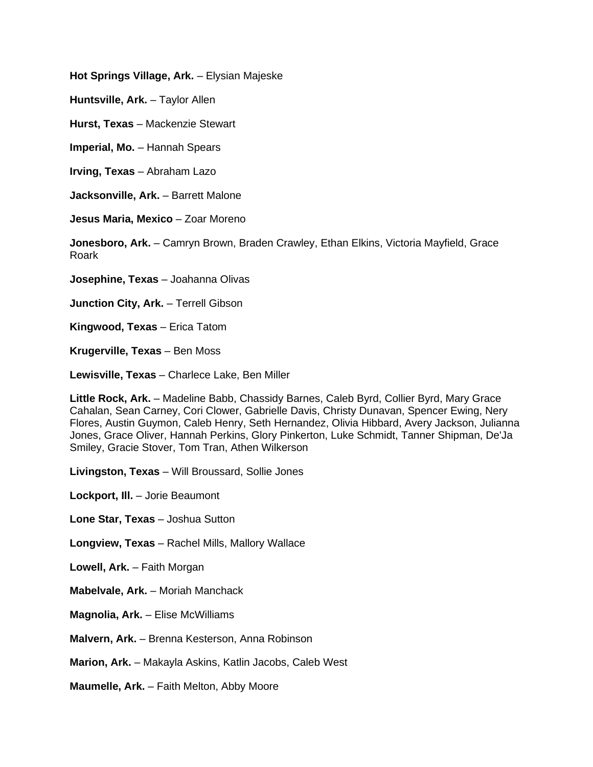**Hot Springs Village, Ark.** – Elysian Majeske

**Huntsville, Ark.** – Taylor Allen

**Hurst, Texas** – Mackenzie Stewart

**Imperial, Mo.** – Hannah Spears

**Irving, Texas** – Abraham Lazo

**Jacksonville, Ark.** – Barrett Malone

**Jesus Maria, Mexico** – Zoar Moreno

**Jonesboro, Ark.** – Camryn Brown, Braden Crawley, Ethan Elkins, Victoria Mayfield, Grace Roark

**Josephine, Texas** – Joahanna Olivas

**Junction City, Ark.** – Terrell Gibson

**Kingwood, Texas** – Erica Tatom

**Krugerville, Texas** – Ben Moss

**Lewisville, Texas** – Charlece Lake, Ben Miller

**Little Rock, Ark.** – Madeline Babb, Chassidy Barnes, Caleb Byrd, Collier Byrd, Mary Grace Cahalan, Sean Carney, Cori Clower, Gabrielle Davis, Christy Dunavan, Spencer Ewing, Nery Flores, Austin Guymon, Caleb Henry, Seth Hernandez, Olivia Hibbard, Avery Jackson, Julianna Jones, Grace Oliver, Hannah Perkins, Glory Pinkerton, Luke Schmidt, Tanner Shipman, De'Ja Smiley, Gracie Stover, Tom Tran, Athen Wilkerson

**Livingston, Texas** – Will Broussard, Sollie Jones

**Lockport, Ill.** – Jorie Beaumont

**Lone Star, Texas** – Joshua Sutton

**Longview, Texas** – Rachel Mills, Mallory Wallace

**Lowell, Ark.** – Faith Morgan

**Mabelvale, Ark.** – Moriah Manchack

**Magnolia, Ark.** – Elise McWilliams

**Malvern, Ark.** – Brenna Kesterson, Anna Robinson

**Marion, Ark.** – Makayla Askins, Katlin Jacobs, Caleb West

**Maumelle, Ark.** – Faith Melton, Abby Moore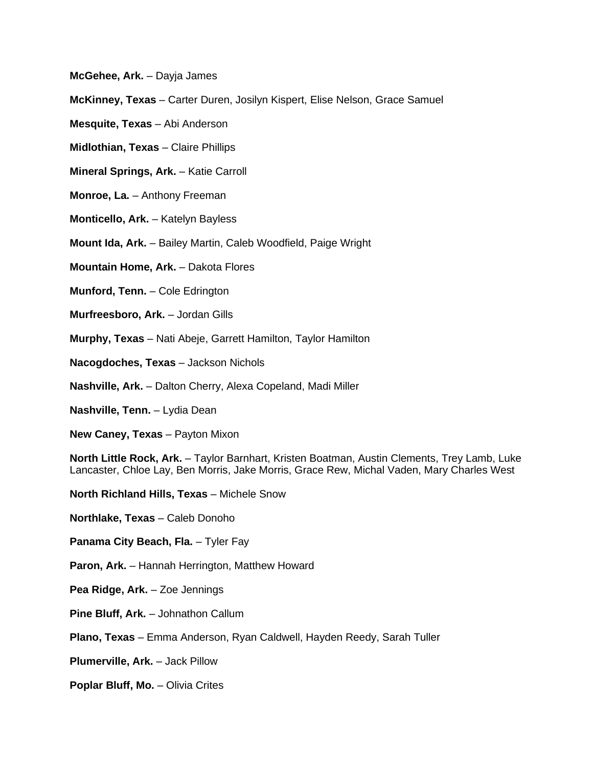**McGehee, Ark.** – Dayja James

**McKinney, Texas** – Carter Duren, Josilyn Kispert, Elise Nelson, Grace Samuel

**Mesquite, Texas** – Abi Anderson

**Midlothian, Texas** – Claire Phillips

**Mineral Springs, Ark.** – Katie Carroll

**Monroe, La.** – Anthony Freeman

**Monticello, Ark.** – Katelyn Bayless

**Mount Ida, Ark.** – Bailey Martin, Caleb Woodfield, Paige Wright

**Mountain Home, Ark.** – Dakota Flores

**Munford, Tenn.** – Cole Edrington

**Murfreesboro, Ark.** – Jordan Gills

**Murphy, Texas** – Nati Abeje, Garrett Hamilton, Taylor Hamilton

**Nacogdoches, Texas** – Jackson Nichols

**Nashville, Ark.** – Dalton Cherry, Alexa Copeland, Madi Miller

**Nashville, Tenn.** – Lydia Dean

**New Caney, Texas** – Payton Mixon

**North Little Rock, Ark.** – Taylor Barnhart, Kristen Boatman, Austin Clements, Trey Lamb, Luke Lancaster, Chloe Lay, Ben Morris, Jake Morris, Grace Rew, Michal Vaden, Mary Charles West

**North Richland Hills, Texas** – Michele Snow

**Northlake, Texas** – Caleb Donoho

**Panama City Beach, Fla.** – Tyler Fay

**Paron, Ark.** – Hannah Herrington, Matthew Howard

**Pea Ridge, Ark.** – Zoe Jennings

**Pine Bluff, Ark.** – Johnathon Callum

**Plano, Texas** – Emma Anderson, Ryan Caldwell, Hayden Reedy, Sarah Tuller

**Plumerville, Ark.** – Jack Pillow

**Poplar Bluff, Mo.** – Olivia Crites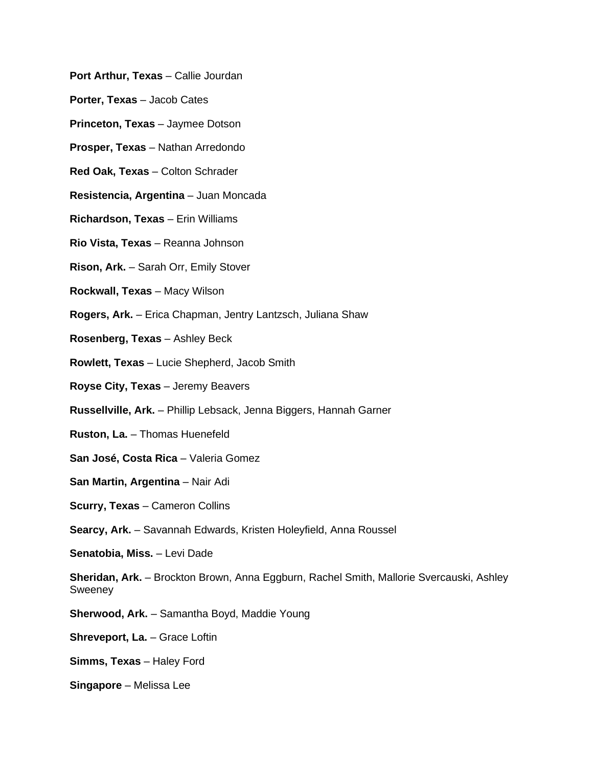- **Port Arthur, Texas** Callie Jourdan
- **Porter, Texas** Jacob Cates
- **Princeton, Texas** Jaymee Dotson
- **Prosper, Texas** Nathan Arredondo
- **Red Oak, Texas** Colton Schrader
- **Resistencia, Argentina** Juan Moncada
- **Richardson, Texas** Erin Williams
- **Rio Vista, Texas** Reanna Johnson
- **Rison, Ark.** Sarah Orr, Emily Stover
- **Rockwall, Texas** Macy Wilson
- **Rogers, Ark.** Erica Chapman, Jentry Lantzsch, Juliana Shaw
- **Rosenberg, Texas** Ashley Beck
- **Rowlett, Texas** Lucie Shepherd, Jacob Smith
- **Royse City, Texas** Jeremy Beavers
- **Russellville, Ark.** Phillip Lebsack, Jenna Biggers, Hannah Garner
- **Ruston, La.** Thomas Huenefeld
- **San José, Costa Rica** Valeria Gomez
- **San Martin, Argentina** Nair Adi
- **Scurry, Texas** Cameron Collins
- **Searcy, Ark.** Savannah Edwards, Kristen Holeyfield, Anna Roussel
- **Senatobia, Miss.** Levi Dade
- **Sheridan, Ark.** Brockton Brown, Anna Eggburn, Rachel Smith, Mallorie Svercauski, Ashley **Sweeney**
- **Sherwood, Ark.** Samantha Boyd, Maddie Young
- **Shreveport, La.** Grace Loftin
- **Simms, Texas** Haley Ford
- **Singapore** Melissa Lee